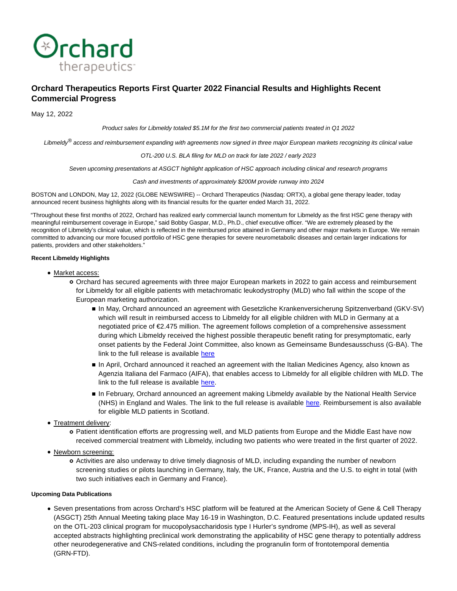

# **Orchard Therapeutics Reports First Quarter 2022 Financial Results and Highlights Recent Commercial Progress**

May 12, 2022

Product sales for Libmeldy totaled \$5.1M for the first two commercial patients treated in Q1 2022

Libmeldy<sup>®</sup> access and reimbursement expanding with agreements now signed in three major European markets recognizing its clinical value

OTL-200 U.S. BLA filing for MLD on track for late 2022 / early 2023

Seven upcoming presentations at ASGCT highlight application of HSC approach including clinical and research programs

Cash and investments of approximately \$200M provide runway into 2024

BOSTON and LONDON, May 12, 2022 (GLOBE NEWSWIRE) -- Orchard Therapeutics (Nasdaq: ORTX), a global gene therapy leader, today announced recent business highlights along with its financial results for the quarter ended March 31, 2022.

"Throughout these first months of 2022, Orchard has realized early commercial launch momentum for Libmeldy as the first HSC gene therapy with meaningful reimbursement coverage in Europe," said Bobby Gaspar, M.D., Ph.D., chief executive officer. "We are extremely pleased by the recognition of Libmeldy's clinical value, which is reflected in the reimbursed price attained in Germany and other major markets in Europe. We remain committed to advancing our more focused portfolio of HSC gene therapies for severe neurometabolic diseases and certain larger indications for patients, providers and other stakeholders."

### **Recent Libmeldy Highlights**

- Market access:
	- Orchard has secured agreements with three major European markets in 2022 to gain access and reimbursement for Libmeldy for all eligible patients with metachromatic leukodystrophy (MLD) who fall within the scope of the European marketing authorization.
		- In May, Orchard announced an agreement with Gesetzliche Krankenversicherung Spitzenverband (GKV-SV) which will result in reimbursed access to Libmeldy for all eligible children with MLD in Germany at a negotiated price of €2.475 million. The agreement follows completion of a comprehensive assessment during which Libmeldy received the highest possible therapeutic benefit rating for presymptomatic, early onset patients by the Federal Joint Committee, also known as Gemeinsame Bundesausschuss (G-BA). The link to the full release is available [here](https://ir.orchard-tx.com/news-releases/news-release-details/orchard-therapeutics-announces-agreement-enabling-access-and#https://ir.orchard-tx.com/news-releases/news-release-details/orchard-therapeutics-announces-agreement-enabling-access-and)
		- In April, Orchard announced it reached an agreement with the Italian Medicines Agency, also known as Agenzia Italiana del Farmaco (AIFA), that enables access to Libmeldy for all eligible children with MLD. The link to the full release is available [here.](https://ir.orchard-tx.com/news-releases/news-release-details/orchard-therapeutics-announces-reimbursement-agreement-making#https://ir.orchard-tx.com/news-releases/news-release-details/orchard-therapeutics-announces-reimbursement-agreement-making)
		- In February, Orchard announced an agreement making Libmeldy available by the National Health Service (NHS) in England and Wales. The link to the full release is available [here.](https://ir.orchard-tx.com/news-releases/news-release-details/orchard-therapeutics-announces-historic-agreement-making#https://ir.orchard-tx.com/news-releases/news-release-details/orchard-therapeutics-announces-historic-agreement-making) Reimbursement is also available for eligible MLD patients in Scotland.
- Treatment delivery:
	- Patient identification efforts are progressing well, and MLD patients from Europe and the Middle East have now received commercial treatment with Libmeldy, including two patients who were treated in the first quarter of 2022.
- Newborn screening:
	- Activities are also underway to drive timely diagnosis of MLD, including expanding the number of newborn screening studies or pilots launching in Germany, Italy, the UK, France, Austria and the U.S. to eight in total (with two such initiatives each in Germany and France).

## **Upcoming Data Publications**

Seven presentations from across Orchard's HSC platform will be featured at the American Society of Gene & Cell Therapy (ASGCT) 25th Annual Meeting taking place May 16-19 in Washington, D.C. Featured presentations include updated results on the OTL-203 clinical program for mucopolysaccharidosis type I Hurler's syndrome (MPS-IH), as well as several accepted abstracts highlighting preclinical work demonstrating the applicability of HSC gene therapy to potentially address other neurodegenerative and CNS-related conditions, including the progranulin form of frontotemporal dementia (GRN-FTD).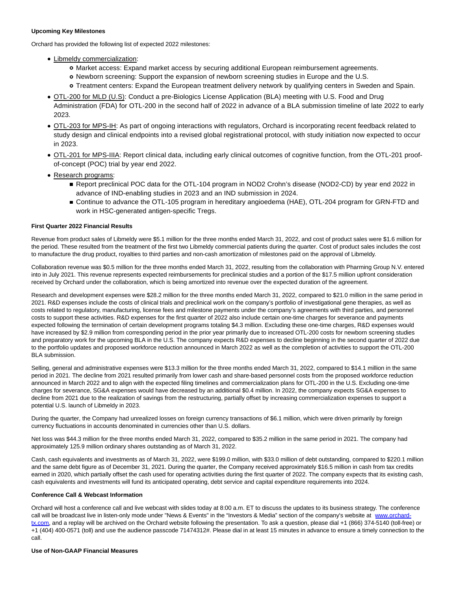### **Upcoming Key Milestones**

Orchard has provided the following list of expected 2022 milestones:

- Libmeldy commercialization:
	- Market access: Expand market access by securing additional European reimbursement agreements.
	- o Newborn screening: Support the expansion of newborn screening studies in Europe and the U.S.
	- Treatment centers: Expand the European treatment delivery network by qualifying centers in Sweden and Spain.
- OTL-200 for MLD (U.S): Conduct a pre-Biologics License Application (BLA) meeting with U.S. Food and Drug Administration (FDA) for OTL-200 in the second half of 2022 in advance of a BLA submission timeline of late 2022 to early 2023.
- OTL-203 for MPS-IH: As part of ongoing interactions with regulators, Orchard is incorporating recent feedback related to study design and clinical endpoints into a revised global registrational protocol, with study initiation now expected to occur in 2023.
- OTL-201 for MPS-IIIA: Report clinical data, including early clinical outcomes of cognitive function, from the OTL-201 proofof-concept (POC) trial by year end 2022.
- Research programs:
	- Report preclinical POC data for the OTL-104 program in NOD2 Crohn's disease (NOD2-CD) by year end 2022 in advance of IND-enabling studies in 2023 and an IND submission in 2024.
	- Continue to advance the OTL-105 program in hereditary angioedema (HAE), OTL-204 program for GRN-FTD and work in HSC-generated antigen-specific Tregs.

## **First Quarter 2022 Financial Results**

Revenue from product sales of Libmeldy were \$5.1 million for the three months ended March 31, 2022, and cost of product sales were \$1.6 million for the period. These resulted from the treatment of the first two Libmeldy commercial patients during the quarter. Cost of product sales includes the cost to manufacture the drug product, royalties to third parties and non-cash amortization of milestones paid on the approval of Libmeldy.

Collaboration revenue was \$0.5 million for the three months ended March 31, 2022, resulting from the collaboration with Pharming Group N.V. entered into in July 2021. This revenue represents expected reimbursements for preclinical studies and a portion of the \$17.5 million upfront consideration received by Orchard under the collaboration, which is being amortized into revenue over the expected duration of the agreement.

Research and development expenses were \$28.2 million for the three months ended March 31, 2022, compared to \$21.0 million in the same period in 2021. R&D expenses include the costs of clinical trials and preclinical work on the company's portfolio of investigational gene therapies, as well as costs related to regulatory, manufacturing, license fees and milestone payments under the company's agreements with third parties, and personnel costs to support these activities. R&D expenses for the first quarter of 2022 also include certain one-time charges for severance and payments expected following the termination of certain development programs totaling \$4.3 million. Excluding these one-time charges, R&D expenses would have increased by \$2.9 million from corresponding period in the prior year primarily due to increased OTL-200 costs for newborn screening studies and preparatory work for the upcoming BLA in the U.S. The company expects R&D expenses to decline beginning in the second quarter of 2022 due to the portfolio updates and proposed workforce reduction announced in March 2022 as well as the completion of activities to support the OTL-200 BLA submission.

Selling, general and administrative expenses were \$13.3 million for the three months ended March 31, 2022, compared to \$14.1 million in the same period in 2021. The decline from 2021 resulted primarily from lower cash and share-based personnel costs from the proposed workforce reduction announced in March 2022 and to align with the expected filing timelines and commercialization plans for OTL-200 in the U.S. Excluding one-time charges for severance, SG&A expenses would have decreased by an additional \$0.4 million. In 2022, the company expects SG&A expenses to decline from 2021 due to the realization of savings from the restructuring, partially offset by increasing commercialization expenses to support a potential U.S. launch of Libmeldy in 2023.

During the quarter, the Company had unrealized losses on foreign currency transactions of \$6.1 million, which were driven primarily by foreign currency fluctuations in accounts denominated in currencies other than U.S. dollars.

Net loss was \$44.3 million for the three months ended March 31, 2022, compared to \$35.2 million in the same period in 2021. The company had approximately 125.9 million ordinary shares outstanding as of March 31, 2022.

Cash, cash equivalents and investments as of March 31, 2022, were \$199.0 million, with \$33.0 million of debt outstanding, compared to \$220.1 million and the same debt figure as of December 31, 2021. During the quarter, the Company received approximately \$16.5 million in cash from tax credits earned in 2020, which partially offset the cash used for operating activities during the first quarter of 2022. The company expects that its existing cash, cash equivalents and investments will fund its anticipated operating, debt service and capital expenditure requirements into 2024.

## **Conference Call & Webcast Information**

Orchard will host a conference call and live webcast with slides today at 8:00 a.m. ET to discuss the updates to its business strategy. The conference call will be broadcast live in listen-only mode under "News & Events" in the "Investors & Media" section of the company's website at [www.orchard](https://www.globenewswire.com/Tracker?data=6uEvakBXRDeSqqVw-4gvzjTZMTRKfhoplt3xZKSS5x-Ccq-tQKkRhlMvM97pMWWBmrTTl8pZR5JaDYorSEHoulV8nVfwYQ_xCFvX81c23SE=)tx.com, and a replay will be archived on the Orchard website following the presentation. To ask a question, please dial +1 (866) 374-5140 (toll-free) or +1 (404) 400-0571 (toll) and use the audience passcode 71474312#. Please dial in at least 15 minutes in advance to ensure a timely connection to the call.

## **Use of Non-GAAP Financial Measures**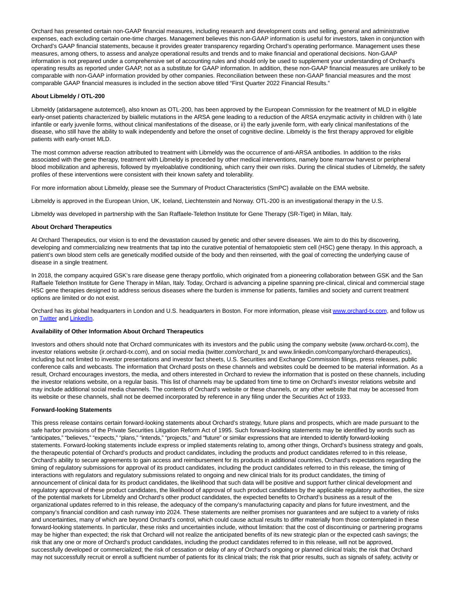Orchard has presented certain non-GAAP financial measures, including research and development costs and selling, general and administrative expenses, each excluding certain one-time charges. Management believes this non-GAAP information is useful for investors, taken in conjunction with Orchard's GAAP financial statements, because it provides greater transparency regarding Orchard's operating performance. Management uses these measures, among others, to assess and analyze operational results and trends and to make financial and operational decisions. Non-GAAP information is not prepared under a comprehensive set of accounting rules and should only be used to supplement your understanding of Orchard's operating results as reported under GAAP, not as a substitute for GAAP information. In addition, these non-GAAP financial measures are unlikely to be comparable with non-GAAP information provided by other companies. Reconciliation between these non-GAAP financial measures and the most comparable GAAP financial measures is included in the section above titled "First Quarter 2022 Financial Results."

#### **About Libmeldy / OTL-200**

Libmeldy (atidarsagene autotemcel), also known as OTL-200, has been approved by the European Commission for the treatment of MLD in eligible early-onset patients characterized by biallelic mutations in the ARSA gene leading to a reduction of the ARSA enzymatic activity in children with i) late infantile or early juvenile forms, without clinical manifestations of the disease, or ii) the early juvenile form, with early clinical manifestations of the disease, who still have the ability to walk independently and before the onset of cognitive decline. Libmeldy is the first therapy approved for eligible patients with early-onset MLD.

The most common adverse reaction attributed to treatment with Libmeldy was the occurrence of anti-ARSA antibodies. In addition to the risks associated with the gene therapy, treatment with Libmeldy is preceded by other medical interventions, namely bone marrow harvest or peripheral blood mobilization and apheresis, followed by myeloablative conditioning, which carry their own risks. During the clinical studies of Libmeldy, the safety profiles of these interventions were consistent with their known safety and tolerability.

For more information about Libmeldy, please see the Summary of Product Characteristics (SmPC) available on the EMA website.

Libmeldy is approved in the European Union, UK, Iceland, Liechtenstein and Norway. OTL-200 is an investigational therapy in the U.S.

Libmeldy was developed in partnership with the San Raffaele-Telethon Institute for Gene Therapy (SR-Tiget) in Milan, Italy.

#### **About Orchard Therapeutics**

At Orchard Therapeutics, our vision is to end the devastation caused by genetic and other severe diseases. We aim to do this by discovering, developing and commercializing new treatments that tap into the curative potential of hematopoietic stem cell (HSC) gene therapy. In this approach, a patient's own blood stem cells are genetically modified outside of the body and then reinserted, with the goal of correcting the underlying cause of disease in a single treatment.

In 2018, the company acquired GSK's rare disease gene therapy portfolio, which originated from a pioneering collaboration between GSK and the San Raffaele Telethon Institute for Gene Therapy in Milan, Italy. Today, Orchard is advancing a pipeline spanning pre-clinical, clinical and commercial stage HSC gene therapies designed to address serious diseases where the burden is immense for patients, families and society and current treatment options are limited or do not exist.

Orchard has its global headquarters in London and U.S. headquarters in Boston. For more information, please visi[t www.orchard-tx.com,](https://www.globenewswire.com/Tracker?data=6uEvakBXRDeSqqVw-4gvzpVmqWibHrUN6yKCXcnQfMsBbOMKLg8egQZ-4gOyCQ-V78sLFPesvbdY9M5Sm7tEkhev_OXo3_EXbRrJR9V1J1b2gXkWo1tnYszAQxgTDXkmxtfWzrGgTseDrrppqi6ZvUm2jEoVX3lJCkUXfp7CtTDTLUsL2Q1vRM_8TqLiD8c64GQpTxmayONXRG3MnoK-x3BLpI8-cCXPfV-WdJ-3neXPvK0jMPn99fAYXti-qBR_) and follow us on [Twitter a](https://www.globenewswire.com/Tracker?data=4oSSsAp8Hdgcp-kJdPjrSok4GSl3MjmFTgeP0M8adbttjWsfh8ZjPee-RBMq8kFaK7cFdhVca64tWjSKX_eHjswj0idQbc0l_yeUISvh18pN0IvWmzu0q6yw-l2dp4ulY8Tje4a5PFWB0vkN2EaLjYIqL6yxaqF4n4vc9dqEAN_r-45iX5chcCp3u_SNoX4tNEyHNqexQDq3-uKVUUZ6uRt7Gk_iloXBLGi3TQk6fPA=)nd [LinkedIn.](https://www.globenewswire.com/Tracker?data=r6hj1bx6LNKCVW0uHCTzzjkFH_AmpoT47H0TPFWH-lvaKPIOvuvhb4yWnmXl0EeTK6Usdpmj5CM0SNgCMshPYSyqvtyusmJEdmj0Laxyk_6a87Gpw9AIL-EcOgupdddMSJ54sBBBRfN5vbust5tcIIzoxbwtbm1Y8XM0WO-yAgzygLrDyRpfyQwCRM1UAJw53g_Xw7jjz6opzG-JxQiCGtvH3OnVnYzKeOgAd4OA1XzoxksIlmhBtR98SLHnY6YMyRihgjmx5UvlaiMn-xRbMQ==)

### **Availability of Other Information About Orchard Therapeutics**

Investors and others should note that Orchard communicates with its investors and the public using the company website (www.orchard-tx.com), the investor relations website (ir.orchard-tx.com), and on social media (twitter.com/orchard\_tx and www.linkedin.com/company/orchard-therapeutics), including but not limited to investor presentations and investor fact sheets, U.S. Securities and Exchange Commission filings, press releases, public conference calls and webcasts. The information that Orchard posts on these channels and websites could be deemed to be material information. As a result, Orchard encourages investors, the media, and others interested in Orchard to review the information that is posted on these channels, including the investor relations website, on a regular basis. This list of channels may be updated from time to time on Orchard's investor relations website and may include additional social media channels. The contents of Orchard's website or these channels, or any other website that may be accessed from its website or these channels, shall not be deemed incorporated by reference in any filing under the Securities Act of 1933.

#### **Forward-looking Statements**

This press release contains certain forward-looking statements about Orchard's strategy, future plans and prospects, which are made pursuant to the safe harbor provisions of the Private Securities Litigation Reform Act of 1995. Such forward-looking statements may be identified by words such as "anticipates," "believes," "expects," "plans," "intends," "projects," and "future" or similar expressions that are intended to identify forward-looking statements. Forward-looking statements include express or implied statements relating to, among other things, Orchard's business strategy and goals, the therapeutic potential of Orchard's products and product candidates, including the products and product candidates referred to in this release, Orchard's ability to secure agreements to gain access and reimbursement for its products in additional countries, Orchard's expectations regarding the timing of regulatory submissions for approval of its product candidates, including the product candidates referred to in this release, the timing of interactions with regulators and regulatory submissions related to ongoing and new clinical trials for its product candidates, the timing of announcement of clinical data for its product candidates, the likelihood that such data will be positive and support further clinical development and regulatory approval of these product candidates, the likelihood of approval of such product candidates by the applicable regulatory authorities, the size of the potential markets for Libmeldy and Orchard's other product candidates, the expected benefits to Orchard's business as a result of the organizational updates referred to in this release, the adequacy of the company's manufacturing capacity and plans for future investment, and the company's financial condition and cash runway into 2024. These statements are neither promises nor guarantees and are subject to a variety of risks and uncertainties, many of which are beyond Orchard's control, which could cause actual results to differ materially from those contemplated in these forward-looking statements. In particular, these risks and uncertainties include, without limitation: that the cost of discontinuing or partnering programs may be higher than expected; the risk that Orchard will not realize the anticipated benefits of its new strategic plan or the expected cash savings; the risk that any one or more of Orchard's product candidates, including the product candidates referred to in this release, will not be approved, successfully developed or commercialized; the risk of cessation or delay of any of Orchard's ongoing or planned clinical trials; the risk that Orchard may not successfully recruit or enroll a sufficient number of patients for its clinical trials; the risk that prior results, such as signals of safety, activity or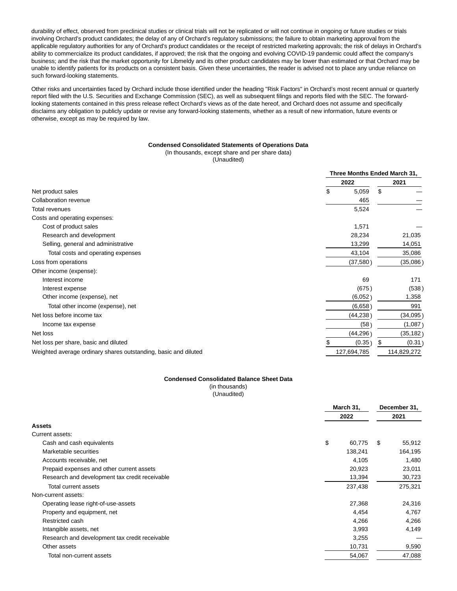durability of effect, observed from preclinical studies or clinical trials will not be replicated or will not continue in ongoing or future studies or trials involving Orchard's product candidates; the delay of any of Orchard's regulatory submissions; the failure to obtain marketing approval from the applicable regulatory authorities for any of Orchard's product candidates or the receipt of restricted marketing approvals; the risk of delays in Orchard's ability to commercialize its product candidates, if approved; the risk that the ongoing and evolving COVID-19 pandemic could affect the company's business; and the risk that the market opportunity for Libmeldy and its other product candidates may be lower than estimated or that Orchard may be unable to identify patients for its products on a consistent basis. Given these uncertainties, the reader is advised not to place any undue reliance on such forward-looking statements.

Other risks and uncertainties faced by Orchard include those identified under the heading "Risk Factors" in Orchard's most recent annual or quarterly report filed with the U.S. Securities and Exchange Commission (SEC), as well as subsequent filings and reports filed with the SEC. The forwardlooking statements contained in this press release reflect Orchard's views as of the date hereof, and Orchard does not assume and specifically disclaims any obligation to publicly update or revise any forward-looking statements, whether as a result of new information, future events or otherwise, except as may be required by law.

#### **Condensed Consolidated Statements of Operations Data**

(In thousands, except share and per share data)

(Unaudited)

|                                                                 | Three Months Ended March 31, |             |  |
|-----------------------------------------------------------------|------------------------------|-------------|--|
|                                                                 | 2022                         | 2021        |  |
| Net product sales                                               | \$<br>5,059                  | \$          |  |
| Collaboration revenue                                           | 465                          |             |  |
| Total revenues                                                  | 5,524                        |             |  |
| Costs and operating expenses:                                   |                              |             |  |
| Cost of product sales                                           | 1,571                        |             |  |
| Research and development                                        | 28,234                       | 21,035      |  |
| Selling, general and administrative                             | 13,299                       | 14,051      |  |
| Total costs and operating expenses                              | 43,104                       | 35,086      |  |
| Loss from operations                                            | (37, 580)                    | (35,086)    |  |
| Other income (expense):                                         |                              |             |  |
| Interest income                                                 | 69                           | 171         |  |
| Interest expense                                                | (675)                        | (538)       |  |
| Other income (expense), net                                     | (6,052)                      | 1,358       |  |
| Total other income (expense), net                               | (6,658)                      | 991         |  |
| Net loss before income tax                                      | (44, 238)                    | (34, 095)   |  |
| Income tax expense                                              | (58)                         | (1,087)     |  |
| Net loss                                                        | (44, 296)                    | (35, 182)   |  |
| Net loss per share, basic and diluted                           | (0.35)                       | (0.31)<br>S |  |
| Weighted average ordinary shares outstanding, basic and diluted | 127,694,785                  | 114,829,272 |  |

#### **Condensed Consolidated Balance Sheet Data**

(in thousands)

(Unaudited)

|                                                | March 31,    | December 31, |  |
|------------------------------------------------|--------------|--------------|--|
|                                                | 2022         | 2021         |  |
| <b>Assets</b>                                  |              |              |  |
| Current assets:                                |              |              |  |
| Cash and cash equivalents                      | \$<br>60,775 | 55,912<br>\$ |  |
| Marketable securities                          | 138,241      | 164,195      |  |
| Accounts receivable, net                       | 4,105        | 1,480        |  |
| Prepaid expenses and other current assets      | 20,923       | 23,011       |  |
| Research and development tax credit receivable | 13,394       | 30,723       |  |
| Total current assets                           | 237,438      | 275,321      |  |
| Non-current assets:                            |              |              |  |
| Operating lease right-of-use-assets            | 27,368       | 24,316       |  |
| Property and equipment, net                    | 4,454        | 4,767        |  |
| Restricted cash                                | 4,266        | 4,266        |  |
| Intangible assets, net                         | 3,993        | 4,149        |  |
| Research and development tax credit receivable | 3,255        |              |  |
| Other assets                                   | 10,731       | 9,590        |  |
| Total non-current assets                       | 54,067       | 47,088       |  |